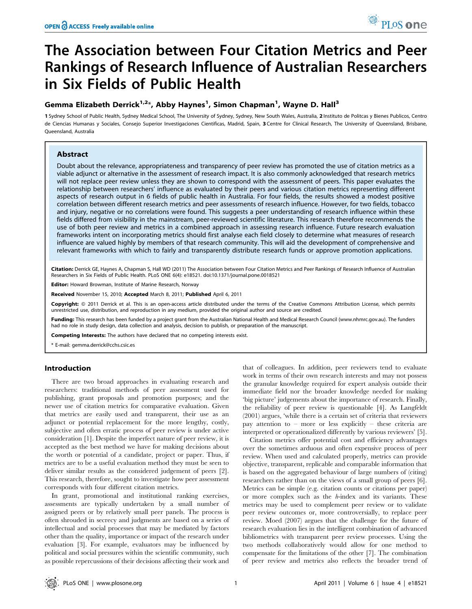# The Association between Four Citation Metrics and Peer Rankings of Research Influence of Australian Researchers in Six Fields of Public Health

# Gemma Elizabeth Derrick<sup>1,2</sup>\*, Abby Haynes<sup>1</sup>, Simon Chapman<sup>1</sup>, Wayne D. Hall<sup>3</sup>

1 Sydney School of Public Health, Sydney Medical School, The University of Sydney, Sydney, New South Wales, Australia, 2 Instituto de Politcas y Bienes Publicos, Centro de Ciencias Humanas y Sociales, Consejo Superior Investigaciones Cientificas, Madrid, Spain, 3 Centre for Clinical Research, The University of Queensland, Brisbane, Queensland, Australia

# Abstract

Doubt about the relevance, appropriateness and transparency of peer review has promoted the use of citation metrics as a viable adjunct or alternative in the assessment of research impact. It is also commonly acknowledged that research metrics will not replace peer review unless they are shown to correspond with the assessment of peers. This paper evaluates the relationship between researchers' influence as evaluated by their peers and various citation metrics representing different aspects of research output in 6 fields of public health in Australia. For four fields, the results showed a modest positive correlation between different research metrics and peer assessments of research influence. However, for two fields, tobacco and injury, negative or no correlations were found. This suggests a peer understanding of research influence within these fields differed from visibility in the mainstream, peer-reviewed scientific literature. This research therefore recommends the use of both peer review and metrics in a combined approach in assessing research influence. Future research evaluation frameworks intent on incorporating metrics should first analyse each field closely to determine what measures of research influence are valued highly by members of that research community. This will aid the development of comprehensive and relevant frameworks with which to fairly and transparently distribute research funds or approve promotion applications.

Citation: Derrick GE, Haynes A, Chapman S, Hall WD (2011) The Association between Four Citation Metrics and Peer Rankings of Research Influence of Australian Researchers in Six Fields of Public Health. PLoS ONE 6(4): e18521. doi:10.1371/journal.pone.0018521

Editor: Howard Browman, Institute of Marine Research, Norway

Received November 15, 2010; Accepted March 8, 2011; Published April 6, 2011

Copyright: © 2011 Derrick et al. This is an open-access article distributed under the terms of the Creative Commons Attribution License, which permits unrestricted use, distribution, and reproduction in any medium, provided the original author and source are credited.

Funding: This research has been funded by a project grant from the Australian National Health and Medical Research Council (www.nhmrc.gov.au). The funders had no role in study design, data collection and analysis, decision to publish, or preparation of the manuscript.

Competing Interests: The authors have declared that no competing interests exist.

\* E-mail: gemma.derrick@cchs.csic.es

# Introduction

There are two broad approaches in evaluating research and researchers: traditional methods of peer assessment used for publishing, grant proposals and promotion purposes; and the newer use of citation metrics for comparative evaluation. Given that metrics are easily used and transparent, their use as an adjunct or potential replacement for the more lengthy, costly, subjective and often erratic process of peer review is under active consideration [1]. Despite the imperfect nature of peer review, it is accepted as the best method we have for making decisions about the worth or potential of a candidate, project or paper. Thus, if metrics are to be a useful evaluation method they must be seen to deliver similar results as the considered judgement of peers [2]. This research, therefore, sought to investigate how peer assessment corresponds with four different citation metrics.

In grant, promotional and institutional ranking exercises, assessments are typically undertaken by a small number of assigned peers or by relatively small peer panels. The process is often shrouded in secrecy and judgments are based on a series of intellectual and social processes that may be mediated by factors other than the quality, importance or impact of the research under evaluation [3]. For example, evaluators may be influenced by political and social pressures within the scientific community, such as possible repercussions of their decisions affecting their work and

that of colleagues. In addition, peer reviewers tend to evaluate work in terms of their own research interests and may not possess the granular knowledge required for expert analysis outside their immediate field nor the broader knowledge needed for making 'big picture' judgements about the importance of research. Finally, the reliability of peer review is questionable [4]. As Langfeldt (2001) argues, 'while there is a certain set of criteria that reviewers pay attention to – more or less explicitly – these criteria are interpreted or operationalized differently by various reviewers' [5].

Citation metrics offer potential cost and efficiency advantages over the sometimes arduous and often expensive process of peer review. When used and calculated properly, metrics can provide objective, transparent, replicable and comparable information that is based on the aggregated behaviour of large numbers of (citing) researchers rather than on the views of a small group of peers [6]. Metrics can be simple (e.g. citation counts or citations per paper) or more complex such as the h-index and its variants. These metrics may be used to complement peer review or to validate peer review outcomes or, more controversially, to replace peer review. Moed (2007) argues that the challenge for the future of research evaluation lies in the intelligent combination of advanced bibliometrics with transparent peer review processes. Using the two methods collaboratively would allow for one method to compensate for the limitations of the other [7]. The combination of peer review and metrics also reflects the broader trend of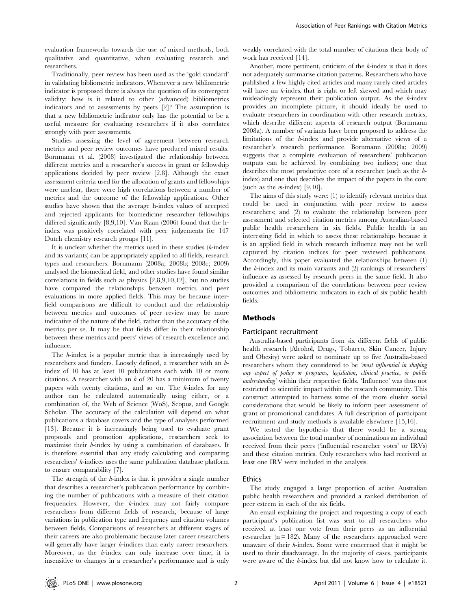evaluation frameworks towards the use of mixed methods, both qualitative and quantitative, when evaluating research and researchers.

Traditionally, peer review has been used as the 'gold standard' in validating bibliometric indicators. Whenever a new bibliometric indicator is proposed there is always the question of its convergent validity: how is it related to other (advanced) bibliometrics indicators and to assessments by peers [2]? The assumption is that a new bibliometric indicator only has the potential to be a useful measure for evaluating researchers if it also correlates strongly with peer assessments.

Studies assessing the level of agreement between research metrics and peer review outcomes have produced mixed results. Bornmann et al. (2008) investigated the relationship between different metrics and a researcher's success in grant or fellowship applications decided by peer review [2,8]. Although the exact assessment criteria used for the allocation of grants and fellowships were unclear, there were high correlations between a number of metrics and the outcome of the fellowship applications. Other studies have shown that the average h-index values of accepted and rejected applicants for biomedicine researcher fellowships differed significantly [8,9,10]. Van Raan (2006) found that the hindex was positively correlated with peer judgements for 147 Dutch chemistry research groups [11].

It is unclear whether the metrics used in these studies (h-index and its variants) can be appropriately applied to all fields, research types and researchers. Bornmann (2008a; 2008b; 2008c; 2009) analysed the biomedical field, and other studies have found similar correlations in fields such as physics [2,8,9,10,12], but no studies have compared the relationships between metrics and peer evaluations in more applied fields. This may be because interfield comparisons are difficult to conduct and the relationship between metrics and outcomes of peer review may be more indicative of the nature of the field, rather than the accuracy of the metrics per se. It may be that fields differ in their relationship between these metrics and peers' views of research excellence and influence.

The h-index is a popular metric that is increasingly used by researchers and funders. Loosely defined, a researcher with an hindex of 10 has at least 10 publications each with 10 or more citations. A researcher with an  $h$  of 20 has a minimum of twenty papers with twenty citations, and so on. The h-index for any author can be calculated automatically using either, or a combination of, the Web of Science (WoS), Scopus, and Google Scholar. The accuracy of the calculation will depend on what publications a database covers and the type of analyses performed [13]. Because it is increasingly being used to evaluate grant proposals and promotion applications, researchers seek to maximise their h-index by using a combination of databases. It is therefore essential that any study calculating and comparing researchers' h-indices uses the same publication database platform to ensure comparability [7].

The strength of the h-index is that it provides a single number that describes a researcher's publication performance by combining the number of publications with a measure of their citation frequencies. However, the h-index may not fairly compare researchers from different fields of research, because of large variations in publication type and frequency and citation volumes between fields. Comparisons of researchers at different stages of their careers are also problematic because later career researchers will generally have larger *h*-indices than early career researchers. Moreover, as the h-index can only increase over time, it is insensitive to changes in a researcher's performance and is only

weakly correlated with the total number of citations their body of work has received [14].

Another, more pertinent, criticism of the h-index is that it does not adequately summarise citation patterns. Researchers who have published a few highly cited articles and many rarely cited articles will have an *h*-index that is right or left skewed and which may misleadingly represent their publication output. As the h-index provides an incomplete picture, it should ideally be used to evaluate researchers in coordination with other research metrics, which describe different aspects of research output (Bornmann 2008a). A number of variants have been proposed to address the limitations of the h-index and provide alternative views of a researcher's research performance. Bornmann (2008a; 2009) suggests that a complete evaluation of researchers' publication outputs can be achieved by combining two indices; one that describes the most productive core of a researcher (such as the hindex) and one that describes the impact of the papers in the core (such as the  $m$ -index) [9,10].

The aims of this study were: (1) to identify relevant metrics that could be used in conjunction with peer review to assess researchers; and (2) to evaluate the relationship between peer assessment and selected citation metrics among Australian-based public health researchers in six fields. Public health is an interesting field in which to assess these relationships because it is an applied field in which research influence may not be well captured by citation indices for peer reviewed publications. Accordingly, this paper evaluated the relationships between (1) the h-index and its main variants and (2) rankings of researchers' influence as assessed by research peers in the same field. It also provided a comparison of the correlations between peer review outcomes and bibliometric indicators in each of six public health fields.

## Methods

#### Participant recruitment

Australia-based participants from six different fields of public health research (Alcohol, Drugs, Tobacco, Skin Cancer, Injury and Obesity) were asked to nominate up to five Australia-based researchers whom they considered to be 'most influential in shaping any aspect of policy or programs, legislation, clinical practice, or public understanding' within their respective fields. 'Influence' was thus not restricted to scientific impact within the research community. This construct attempted to harness some of the more elusive social considerations that would be likely to inform peer assessment of grant or promotional candidates. A full description of participant recruitment and study methods is available elsewhere [15,16].

We tested the hypothesis that there would be a strong association between the total number of nominations an individual received from their peers ('influential researcher votes' or IRVs) and these citation metrics. Only researchers who had received at least one IRV were included in the analysis.

#### Ethics

The study engaged a large proportion of active Australian public health researchers and provided a ranked distribution of peer esteem in each of the six fields.

An email explaining the project and requesting a copy of each participant's publication list was sent to all researchers who received at least one vote from their peers as an influential researcher ( $n = 182$ ). Many of the researchers approached were unaware of their h-index. Some were concerned that it might be used to their disadvantage. In the majority of cases, participants were aware of the h-index but did not know how to calculate it.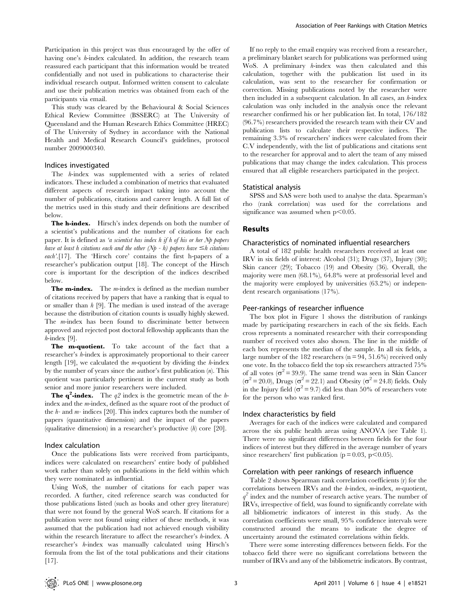Participation in this project was thus encouraged by the offer of having one's h-index calculated. In addition, the research team reassured each participant that this information would be treated confidentially and not used in publications to characterise their individual research output. Informed written consent to calculate and use their publication metrics was obtained from each of the participants via email.

This study was cleared by the Behavioural & Social Sciences Ethical Review Committee (BSSERC) at The University of Queensland and the Human Research Ethics Committee (HREC) of The University of Sydney in accordance with the National Health and Medical Research Council's guidelines, protocol number 2009000340.

#### Indices investigated

The h-index was supplemented with a series of related indicators. These included a combination of metrics that evaluated different aspects of research impact taking into account the number of publications, citations and career length. A full list of the metrics used in this study and their definitions are described below.

The h-index. Hirsch's index depends on both the number of a scientist's publications and the number of citations for each paper. It is defined as 'a scientist has index h if h of his or her Np papers have at least h citations each and the other (Np - h) papers have  $\leq$ h citations each'.[17]. The 'Hirsch core' contains the first h-papers of a researcher's publication output [18]. The concept of the Hirsch core is important for the description of the indices described below.

**The m-index.** The  $m$ -index is defined as the median number of citations received by papers that have a ranking that is equal to or smaller than  $h$  [9]. The median is used instead of the average because the distribution of citation counts is usually highly skewed. The m-index has been found to discriminate better between approved and rejected post doctoral fellowship applicants than the  $h$ -index [9].

The m-quotient. To take account of the fact that a researcher's h-index is approximately proportional to their career length  $[19]$ , we calculated the *m*-quotient by dividing the *h*-index by the number of years since the author's first publication  $(n)$ . This quotient was particularly pertinent in the current study as both senior and more junior researchers were included.

**The q<sup>2</sup>-index.** The  $q2$  index is the geometric mean of the hindex and the m-index, defined as the square root of the product of the  $h$ - and  $m$ - indices [20]. This index captures both the number of papers (quantitative dimension) and the impact of the papers (qualitative dimension) in a researcher's productive  $(h)$  core [20].

#### Index calculation

Once the publications lists were received from participants, indices were calculated on researchers' entire body of published work rather than solely on publications in the field within which they were nominated as influential.

Using WoS, the number of citations for each paper was recorded. A further, cited reference search was conducted for those publications listed (such as books and other grey literature) that were not found by the general WoS search. If citations for a publication were not found using either of these methods, it was assumed that the publication had not achieved enough visibility within the research literature to affect the researcher's h-index. A researcher's h-index was manually calculated using Hirsch's formula from the list of the total publications and their citations [17].

If no reply to the email enquiry was received from a researcher, a preliminary blanket search for publications was performed using WoS. A preliminary h-index was then calculated and this calculation, together with the publication list used in its calculation, was sent to the researcher for confirmation or correction. Missing publications noted by the researcher were then included in a subsequent calculation. In all cases, an  $h$ -index calculation was only included in the analysis once the relevant researcher confirmed his or her publication list. In total, 176/182 (96.7%) researchers provided the research team with their CV and publication lists to calculate their respective indices. The remaining 3.3% of researchers' indices were calculated from their C.V independently, with the list of publications and citations sent to the researcher for approval and to alert the team of any missed publications that may change the index calculation. This process ensured that all eligible researchers participated in the project.

#### Statistical analysis

SPSS and SAS were both used to analyse the data. Spearman's rho (rank correlation) was used for the correlations and significance was assumed when  $p<0.05$ .

#### Results

## Characteristics of nominated influential researchers

A total of 182 public health researchers received at least one IRV in six fields of interest: Alcohol (31); Drugs (37), Injury (30); Skin cancer (29); Tobacco (19) and Obesity (36). Overall, the majority were men (68.1%), 64.8% were at professorial level and the majority were employed by universities (63.2%) or independent research organisations (17%).

#### Peer-rankings of researcher influence

The box plot in Figure 1 shows the distribution of rankings made by participating researchers in each of the six fields. Each cross represents a nominated researcher with their corresponding number of received votes also shown. The line in the middle of each box represents the median of the sample. In all six fields, a large number of the 182 researchers ( $n = 94, 51.6\%$ ) received only one vote. In the tobacco field the top six researchers attracted 75% of all votes ( $\sigma^2$  = 39.9). The same trend was seen in Skin Cancer  $(\sigma^2 = 20.0)$ , Drugs ( $\sigma^2 = 22.1$ ) and Obesity ( $\sigma^2 = 24.8$ ) fields. Only in the Injury field ( $\sigma^2$  = 9.7) did less than 50% of researchers vote for the person who was ranked first.

#### Index characteristics by field

Averages for each of the indices were calculated and compared across the six public health areas using ANOVA (see Table 1). There were no significant differences between fields for the four indices of interest but they differed in the average number of years since researchers' first publication ( $p = 0.03$ ,  $p < 0.05$ ).

#### Correlation with peer rankings of research influence

Table 2 shows Spearman rank correlation coefficients (r) for the correlations between IRVs and the  $h$ -index,  $m$ -index,  $m$ -quotient,  $q^2$  index and the number of research active years. The number of IRVs, irrespective of field, was found to significantly correlate with all bibliometric indicators of interest in this study. As the correlation coefficients were small, 95% confidence intervals were constructed around the means to indicate the degree of uncertainty around the estimated correlations within fields.

There were some interesting differences between fields. For the tobacco field there were no significant correlations between the number of IRVs and any of the bibliometric indicators. By contrast,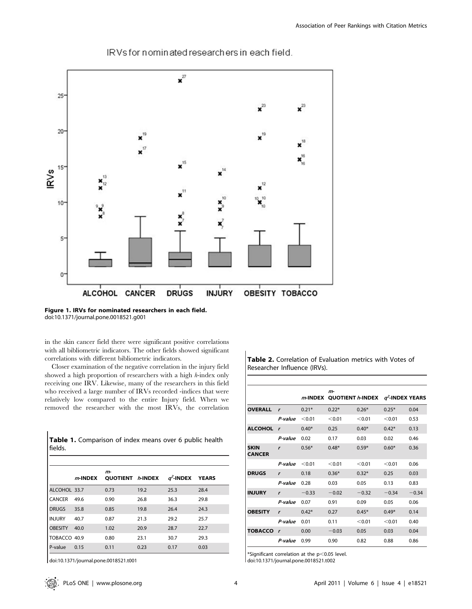

IRVs for nominated researchers in each field.

Figure 1. IRVs for nominated researchers in each field. doi:10.1371/journal.pone.0018521.g001

in the skin cancer field there were significant positive correlations with all bibliometric indicators. The other fields showed significant correlations with different bibliometric indicators.

Closer examination of the negative correlation in the injury field showed a high proportion of researchers with a high h-index only receiving one IRV. Likewise, many of the researchers in this field who received a large number of IRVs recorded -indices that were relatively low compared to the entire Injury field. When we removed the researcher with the most IRVs, the correlation

|           | Table 1. Comparison of index means over 6 public health |  |  |  |
|-----------|---------------------------------------------------------|--|--|--|
| l fields. |                                                         |  |  |  |

|                | $m$ -INDEX | m-<br><b>QUOTIENT / HINDEX</b> |      | $q^2$ -INDEX | <b>YEARS</b> |
|----------------|------------|--------------------------------|------|--------------|--------------|
| ALCOHOL 33.7   |            | 0.73                           | 19.2 | 25.3         | 28.4         |
| CANCER         | 49.6       | 0.90                           | 26.8 | 36.3         | 29.8         |
| <b>DRUGS</b>   | 35.8       | 0.85                           | 19.8 | 26.4         | 24.3         |
| <b>INJURY</b>  | 40.7       | 0.87                           | 21.3 | 29.2         | 25.7         |
| <b>OBESITY</b> | 40.0       | 1.02                           | 20.9 | 28.7         | 22.7         |
| TOBACCO 40.9   |            | 0.80                           | 23.1 | 30.7         | 29.3         |
| P-value        | 0.15       | 0.11                           | 0.23 | 0.17         | 0.03         |

doi:10.1371/journal.pone.0018521.t001

Table 2. Correlation of Evaluation metrics with Votes of Researcher Influence (IRVs).

|                              |              |         | $m-$<br><i>m</i> -INDEX QUOTIENT h-INDEX $q^2$ -INDEX YEARS |         |         |         |
|------------------------------|--------------|---------|-------------------------------------------------------------|---------|---------|---------|
| <b>OVERALL</b>               | $\mathbf{r}$ | $0.21*$ | $0.22*$                                                     | $0.26*$ | $0.25*$ | 0.04    |
|                              | P-value      | < 0.01  | < 0.01                                                      | < 0.01  | < 0.01  | 0.53    |
| <b>ALCOHOL</b>               | $\mathbf{r}$ | $0.40*$ | 0.25                                                        | $0.40*$ | $0.42*$ | 0.13    |
|                              | P-value      | 0.02    | 0.17                                                        | 0.03    | 0.02    | 0.46    |
| <b>SKIN</b><br><b>CANCER</b> | $\mathbf{r}$ | $0.56*$ | $0.48*$                                                     | $0.59*$ | $0.60*$ | 0.36    |
|                              | P-value      | < 0.01  | < 0.01                                                      | < 0.01  | < 0.01  | 0.06    |
| <b>DRUGS</b>                 | $\mathbf{r}$ | 0.18    | $0.36*$                                                     | $0.32*$ | 0.25    | 0.03    |
|                              | P-value      | 0.28    | 0.03                                                        | 0.05    | 0.13    | 0.83    |
| <b>INJURY</b>                | $\mathbf{r}$ | $-0.33$ | $-0.02$                                                     | $-0.32$ | $-0.34$ | $-0.34$ |
|                              | P-value      | 0.07    | 0.91                                                        | 0.09    | 0.05    | 0.06    |
| <b>OBESITY</b>               | $\mathbf{r}$ | $0.42*$ | 0.27                                                        | $0.45*$ | $0.49*$ | 0.14    |
|                              | P-value      | 0.01    | 0.11                                                        | < 0.01  | < 0.01  | 0.40    |
| <b>TOBACCO</b>               | $\mathbf{r}$ | 0.00    | $-0.03$                                                     | 0.05    | 0.03    | 0.04    |
|                              | P-value      | 0.99    | 0.90                                                        | 0.82    | 0.88    | 0.86    |

\*Significant correlation at the  $p<0.05$  level. doi:10.1371/journal.pone.0018521.t002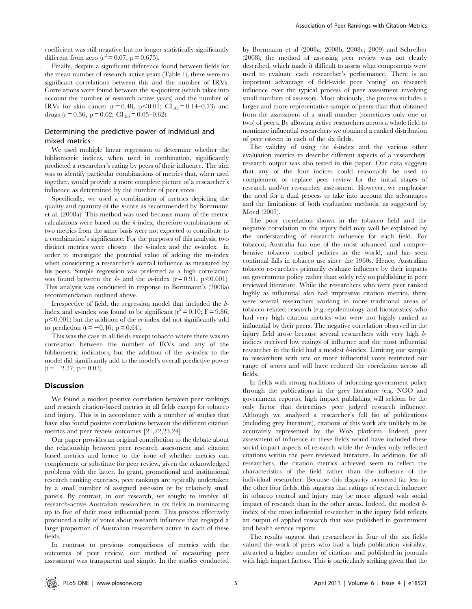coefficient was still negative but no longer statistically significantly different from zero  $(r^2 = 0.07; p = 0.675)$ .

Finally, despite a significant difference found between fields for the mean number of research active years (Table 1), there were no significant correlations between this and the number of IRVs. Correlations were found between the m-quotient (which takes into account the number of research active years) and the number of IRVs for skin cancer ( $r = 0.48$ ,  $p < 0.01$ ; CI<sub>.95</sub> = 0.14–0.73) and drugs ( $r = 0.36$ ,  $p = 0.02$ ; CI<sub>.95</sub> = 0.05–0.62).

# Determining the predictive power of individual and mixed metrics

We used multiple linear regression to determine whether the bibliometric indices, when used in combination, significantly predicted a researcher's rating by peers of their influence. The aim was to identify particular combinations of metrics that, when used together, would provide a more complete picture of a researcher's influence as determined by the number of peer votes.

Specifically, we used a combination of metrics depicting the quality and quantity of the h-core as recommended by Bornmann et al. (2008a). This method was used because many of the metric calculations were based on the h-index; therefore combinations of two metrics from the same basis were not expected to contribute to a combination's significance. For the purposes of this analysis, two distinct metrics were chosen—the h-index and the m-index—in order to investigate the potential value of adding the m-index when considering a researcher's overall influence as measured by his peers. Simple regression was preferred as a high correlation was found between the  $h$ - and the m-index (r = 0.91, p<0.001). This analysis was conducted in response to Bornmann's (2008a) recommendation outlined above.

Irrespective of field, the regression model that included the hindex and *m*-index was found to be significant ( $r^2 = 0.10$ ; F = 9.86;  $p<0.001$ ) but the addition of the *m*-index did not significantly add to prediction ( $t = -0.46$ ; p = 0.64).

This was the case in all fields except tobacco where there was no correlation between the number of IRVs and any of the bibliometric indicators, but the addition of the m-index to the model did significantly add to the model's overall predictive power  $(t = -2.37; p = 0.03)$ .

# Discussion

We found a modest positive correlation between peer rankings and research citation-based metrics in all fields except for tobacco and injury. This is in accordance with a number of studies that have also found positive correlations between the different citation metrics and peer review outcomes [21,22,23,24].

Our paper provides an original contribution to the debate about the relationship between peer research assessment and citation based metrics and hence to the issue of whether metrics can complement or substitute for peer review, given the acknowledged problems with the latter. In grant, promotional and institutional research ranking exercises, peer rankings are typically undertaken by a small number of assigned assessors or by relatively small panels. By contrast, in our research, we sought to involve all research-active Australian researchers in six fields in nominating up to five of their most influential peers. This process effectively produced a tally of votes about research influence that engaged a large proportion of Australian researchers active in each of these fields.

In contrast to previous comparisons of metrics with the outcomes of peer review, our method of measuring peer assessment was transparent and simple. In the studies conducted by Bornmann et al (2008a; 2008b; 2008c; 2009) and Schreiber (2008), the method of assessing peer review was not clearly described, which made it difficult to assess what components were used to evaluate each researcher's performance. There is an important advantage of field-wide peer 'voting' on research influence over the typical process of peer assessment involving small numbers of assessors. Most obviously, the process includes a larger and more representative sample of peers than that obtained from the assessment of a small number (sometimes only one or two) of peers. By allowing active researchers across a whole field to nominate influential researchers we obtained a ranked distribution of peer esteem in each of the six fields.

The validity of using the  $h$ -index and the various other evaluation metrics to describe different aspects of a researchers' research output was also tested in this paper. Our data suggests that any of the four indices could reasonably be used to complement or replace peer review for the initial stages of research and/or researcher assessment. However, we emphasise the need for a dual process to take into account the advantages and the limitations of both evaluation methods, as suggested by Moed (2007).

The poor correlation shown in the tobacco field and the negative correlation in the injury field may well be explained by the understanding of research influence for each field. For tobacco, Australia has one of the most advanced and comprehensive tobacco control policies in the world, and has seen continual falls in tobacco use since the 1960s. Hence, Australian tobacco researchers primarily evaluate influence by their impacts on government policy rather than solely rely on publishing in peer reviewed literature. While the researchers who were peer ranked highly as influential also had impressive citation metrics, there were several researchers working in more traditional areas of tobacco related research (e.g. epidemiology and biostatistics) who had very high citation metrics who were not highly ranked as influential by their peers. The negative correlation observed in the injury field arose because several researchers with very high hindices received low ratings of influence and the most influential researcher in the field had a modest h-index. Limiting our sample to researchers with one or more influential votes restricted our range of scores and will have reduced the correlation across all fields.

In fields with strong traditions of informing government policy through the publications in the grey literature (e.g. NGO and government reports), high impact publishing will seldom be the only factor that determines peer judged research influence. Although we analysed a researcher's full list of publications (including grey literature), citations of this work are unlikely to be accurately represented by the WoS platform. Indeed, peer assessment of influence in these fields would have included these social impact aspects of research while the h-index only reflected citations within the peer reviewed literature. In addition, for all researchers, the citation metrics achieved seem to reflect the characteristics of the field rather than the influence of the individual researcher. Because this disparity occurred far less in the other four fields, this suggests that ratings of research influence in tobacco control and injury may be more aligned with social impact of research than in the other areas. Indeed, the modest hindex of the most influential researcher in the injury field reflects an output of applied research that was published in government and health service reports.

The results suggest that researchers in four of the six fields valued the work of peers who had a high publication visibility, attracted a higher number of citations and published in journals with high impact factors. This is particularly striking given that the